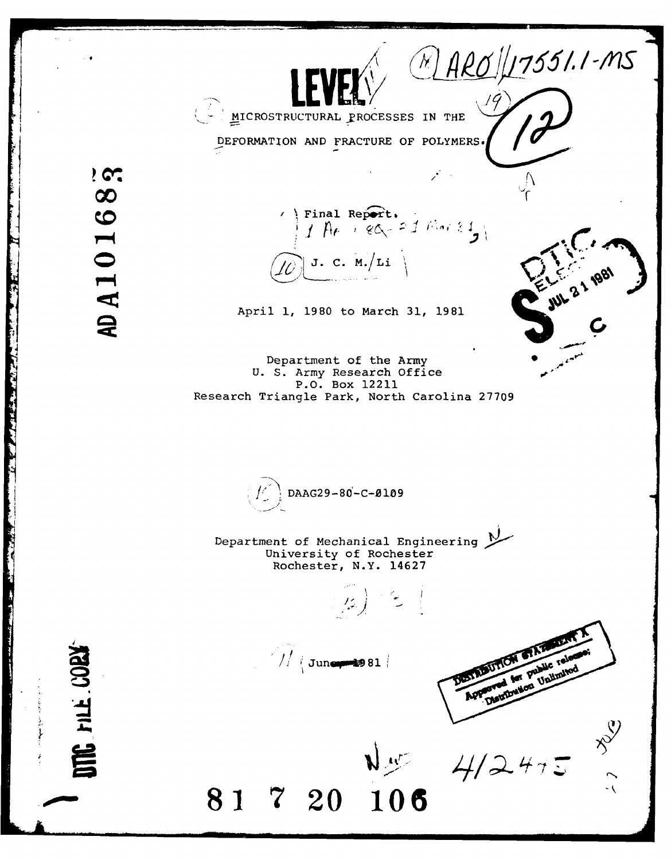$NAPO/I7551.1-MS$ 4 -~ **LEVEES** MICROSTRUCTURAL PROCESSES IN THE DEFORMATION **AND** FRACTURE OF POLYMERS **I**  $9<sup>o</sup>$ AD A10168 Final Report.<br> $\int f \, \hat{H} \, e^{-\frac{1}{2} g} \, d\hat{G} = 1$  that  $\sum$ (/6' **J. C.** M./Li April 1, 1980 to March 31, 1981  $\mathcal{C}$ Department of the Army U. S. Army Research Office  $\boldsymbol{v}$ P.O. Box 12211 Research Triangle Park, North Carolina 27709 *I'* DAAG29-80 -C-0109 Department of Mechanical Engineering M University of Rochester Rochester, N.Y. 14627  $\mathbb{E} \left( \mathbb{R}^d \right)$  $\frac{1}{\sqrt{2}}$  June 81 ۹X **81 7 20 106**  $4/2475$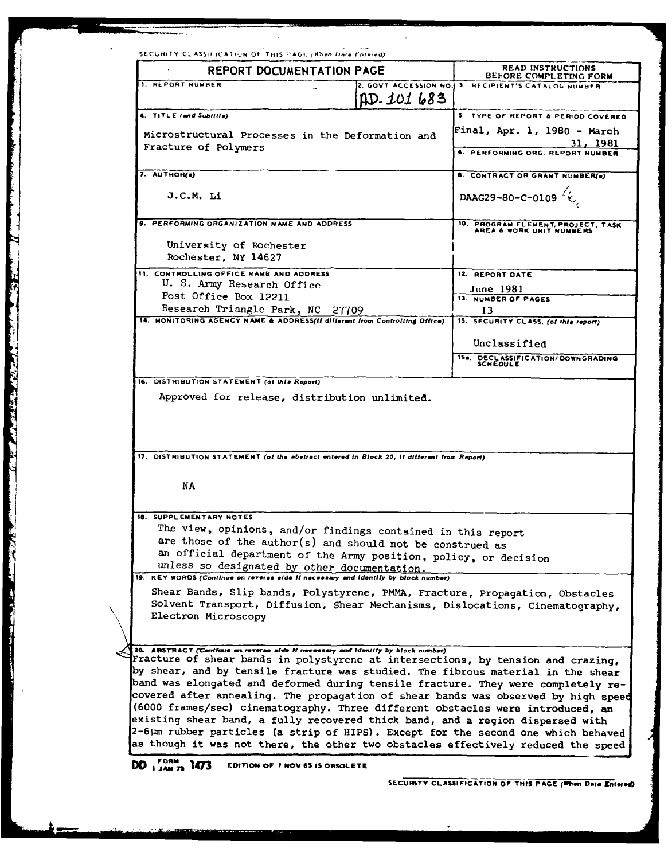| BEFORE COMPLETING FORM<br>2. GOVT ACCESSION NO. 3 RECIPIENT'S CATALOG NUMBER<br>5 TYPE OF REPORT & PERIOD COVERED<br>Final, Apr. 1, 1980 - March<br>31, 1981<br>6. PERFORMING ORG. REPORT NUMBER<br>8. CONTRACT OR GRANT NUMBER(e)<br>DAAG29-80-C-0109 $\left\langle \right. \right\langle \right.$<br>10. PROGRAM ELEMENT, PROJECT, TASK AREA & WORK UNIT NUMBERS<br>12. REPORT DATE<br><u>June 1981</u><br>13. NUMBER OF PAGES<br>13<br>15. SECURITY CLASS. (of this report)<br>Unclassified<br>15a. DECLASSIFICATION/DOWNGRADING<br>SCHEDULE |
|-------------------------------------------------------------------------------------------------------------------------------------------------------------------------------------------------------------------------------------------------------------------------------------------------------------------------------------------------------------------------------------------------------------------------------------------------------------------------------------------------------------------------------------------------|
|                                                                                                                                                                                                                                                                                                                                                                                                                                                                                                                                                 |
|                                                                                                                                                                                                                                                                                                                                                                                                                                                                                                                                                 |
|                                                                                                                                                                                                                                                                                                                                                                                                                                                                                                                                                 |
|                                                                                                                                                                                                                                                                                                                                                                                                                                                                                                                                                 |
|                                                                                                                                                                                                                                                                                                                                                                                                                                                                                                                                                 |
|                                                                                                                                                                                                                                                                                                                                                                                                                                                                                                                                                 |
|                                                                                                                                                                                                                                                                                                                                                                                                                                                                                                                                                 |
|                                                                                                                                                                                                                                                                                                                                                                                                                                                                                                                                                 |
|                                                                                                                                                                                                                                                                                                                                                                                                                                                                                                                                                 |
|                                                                                                                                                                                                                                                                                                                                                                                                                                                                                                                                                 |
|                                                                                                                                                                                                                                                                                                                                                                                                                                                                                                                                                 |
|                                                                                                                                                                                                                                                                                                                                                                                                                                                                                                                                                 |
|                                                                                                                                                                                                                                                                                                                                                                                                                                                                                                                                                 |
|                                                                                                                                                                                                                                                                                                                                                                                                                                                                                                                                                 |
|                                                                                                                                                                                                                                                                                                                                                                                                                                                                                                                                                 |
|                                                                                                                                                                                                                                                                                                                                                                                                                                                                                                                                                 |
|                                                                                                                                                                                                                                                                                                                                                                                                                                                                                                                                                 |
|                                                                                                                                                                                                                                                                                                                                                                                                                                                                                                                                                 |
|                                                                                                                                                                                                                                                                                                                                                                                                                                                                                                                                                 |
|                                                                                                                                                                                                                                                                                                                                                                                                                                                                                                                                                 |
|                                                                                                                                                                                                                                                                                                                                                                                                                                                                                                                                                 |
|                                                                                                                                                                                                                                                                                                                                                                                                                                                                                                                                                 |
|                                                                                                                                                                                                                                                                                                                                                                                                                                                                                                                                                 |
| The view, opinions, and/or findings contained in this report                                                                                                                                                                                                                                                                                                                                                                                                                                                                                    |
| are those of the author(s) and should not be construed as                                                                                                                                                                                                                                                                                                                                                                                                                                                                                       |
| an official department of the Army position, policy, or decision                                                                                                                                                                                                                                                                                                                                                                                                                                                                                |
|                                                                                                                                                                                                                                                                                                                                                                                                                                                                                                                                                 |
| Shear Bands, Slip bands, Polystyrene, PMMA, Fracture, Propagation, Obstacles                                                                                                                                                                                                                                                                                                                                                                                                                                                                    |
| Solvent Transport, Diffusion, Shear Mechanisms, Dislocations, Cinematography,                                                                                                                                                                                                                                                                                                                                                                                                                                                                   |
|                                                                                                                                                                                                                                                                                                                                                                                                                                                                                                                                                 |
|                                                                                                                                                                                                                                                                                                                                                                                                                                                                                                                                                 |
|                                                                                                                                                                                                                                                                                                                                                                                                                                                                                                                                                 |
| Fracture of shear bands in polystyrene at intersections, by tension and crazing,<br>by shear, and by tensile fracture was studied. The fibrous material in the shear                                                                                                                                                                                                                                                                                                                                                                            |
| band was elongated and deformed during tensile fracture. They were completely re-                                                                                                                                                                                                                                                                                                                                                                                                                                                               |
| covered after annealing. The propagation of shear bands was observed by high speed                                                                                                                                                                                                                                                                                                                                                                                                                                                              |
| (6000 frames/sec) cinematography. Three different obstacles were introduced, an<br>existing shear band, a fully recovered thick band, and a region dispersed with                                                                                                                                                                                                                                                                                                                                                                               |
| 2-6µm rubber particles (a strip of HIPS). Except for the second one which behaved                                                                                                                                                                                                                                                                                                                                                                                                                                                               |
| as though it was not there, the other two obstacles effectively reduced the speed                                                                                                                                                                                                                                                                                                                                                                                                                                                               |
|                                                                                                                                                                                                                                                                                                                                                                                                                                                                                                                                                 |
|                                                                                                                                                                                                                                                                                                                                                                                                                                                                                                                                                 |
|                                                                                                                                                                                                                                                                                                                                                                                                                                                                                                                                                 |

and the state of the state of the state of the state of the state of the state of the state of the state of the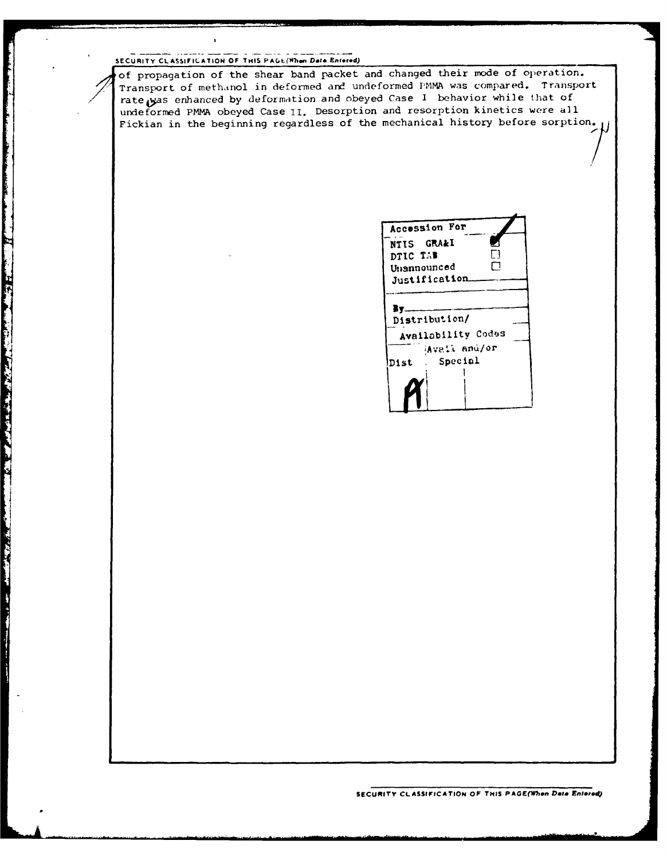# SECURITY CLASSIFICATION OF THIS PAGE(When Data Entered)

Maria Barat Andrew Maria Partie Company of the Company of the Company of the Company of the Company of the Company of the Company of the Company of the Company of the Company of the Company of the Company of the Company of

**The Second Property** 

ł

of propagation of the shear band packet and changed their mode of operation. Transport of methanol in deformed and undeformed PMMA was compared. Transport rate was enhanced by deformation and obeyed Case I behavior while that of undeformed PMMA obeyed Case **il.** Desorption and resorption kinetics were all Fickian in the beginning regardless of the mechanical history before sorption.

| NTIS GRA&I<br>DTIC TAB<br>Unannounced<br>Justification.<br>By |  |
|---------------------------------------------------------------|--|
|                                                               |  |
|                                                               |  |
|                                                               |  |
|                                                               |  |
|                                                               |  |
|                                                               |  |
| Distribution/                                                 |  |
| Availability Codes                                            |  |
| Avail and/or                                                  |  |
| Special<br>Dist                                               |  |
|                                                               |  |
|                                                               |  |
|                                                               |  |
|                                                               |  |

SECURITY CLASSIFICATION OF THIS PAGE(When Data Entered)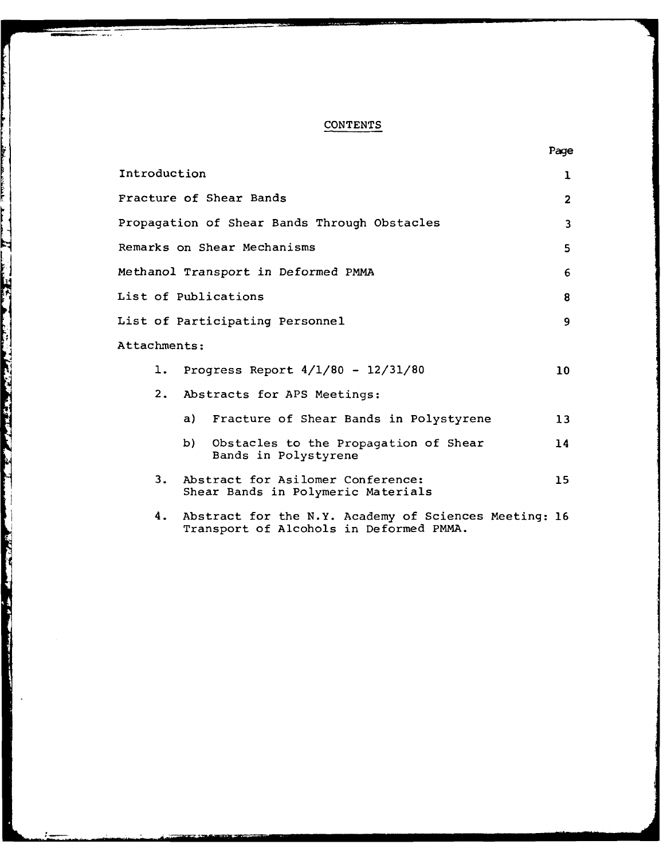# CONTENTS

|                                                                                                        | Page            |
|--------------------------------------------------------------------------------------------------------|-----------------|
| Introduction                                                                                           | ı               |
| Fracture of Shear Bands                                                                                | $\overline{2}$  |
| Propagation of Shear Bands Through Obstacles                                                           | 3               |
| Remarks on Shear Mechanisms                                                                            | 5               |
| Methanol Transport in Deformed PMMA                                                                    | 6               |
| List of Publications                                                                                   | 8               |
| List of Participating Personnel                                                                        | 9               |
| Attachments:                                                                                           |                 |
| Progress Report $4/1/80 - 12/31/80$<br>ı.                                                              | 10 <sup>°</sup> |
| 2.<br>Abstracts for APS Meetings:                                                                      |                 |
| a) Fracture of Shear Bands in Polystyrene                                                              | 13              |
| b) —<br>Obstacles to the Propagation of Shear<br>Bands in Polystyrene                                  | 14              |
| Abstract for Asilomer Conference:<br>3.<br>Shear Bands in Polymeric Materials                          | 15              |
| Abstract for the N.Y. Academy of Sciences Meeting: 16<br>4.<br>Transport of Alcohols in Deformed PMMA. |                 |

a se a componente de la proprieta de la proprieta de la proprieta de la proprieta de la proprieta de la proprie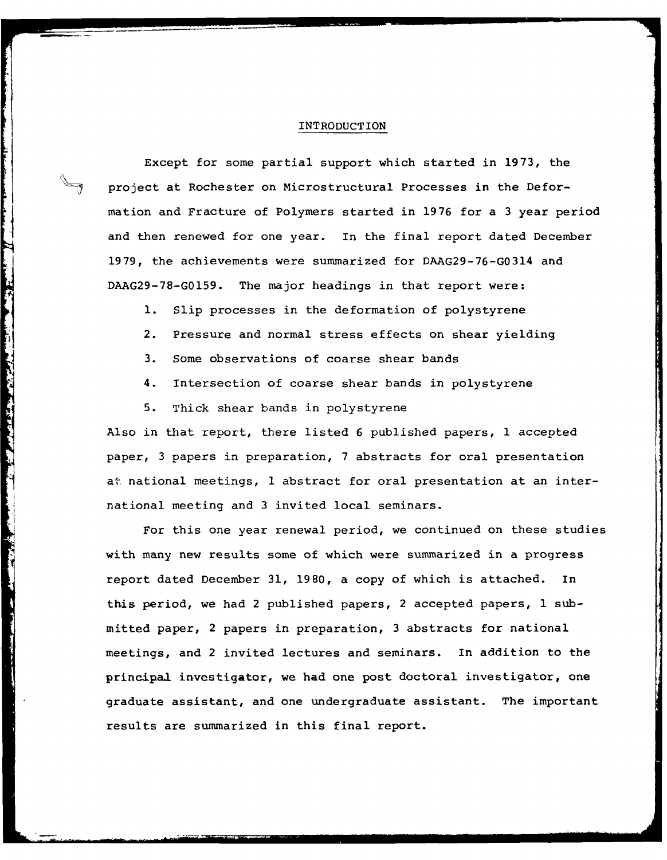#### INTRODUCTION

Except for some partial support which started in 1973, the project at Rochester on Microstructural Processes in the Deformation and Fracture of Polymers started in 1976 for a 3 year period and then renewed for one year. In the final report dated December 1979, the achievements were summarized for DAAG29-76-G0314 and DAAG29-78-G0159. The major headings in that report were:

- **1.** Slip processes in the deformation of polystyrene
- 2. Pressure and normal stress effects on shear yielding
- 3. Some observations of coarse shear bands
- 4. Intersection of coarse shear bands in polystyrene
- 5. Thick shear bands in polystyrene

Ŀ 

and the same of the same of the same of the same of the same of the same of the same of the same of the same of

Also in that report, there listed 6 published papers, 1 accepted paper, 3 papers in preparation, 7 abstracts for oral presentation at national meetings, 1 abstract for oral presentation at an international meeting and 3 invited local seminars.

For this one year renewal period, we continued on these studies with many new results some of which were summarized in a progress report dated December 31, 1980, a copy of which is attached. In this period, we had 2 published papers, 2 accepted papers, 1 submitted paper, 2 papers in preparation, 3 abstracts for national meetings, and 2 invited lectures and seminars. In addition to the principal investigator, we had one post doctoral investigator, one graduate assistant, and one undergraduate assistant. The important results are summarized in this final report.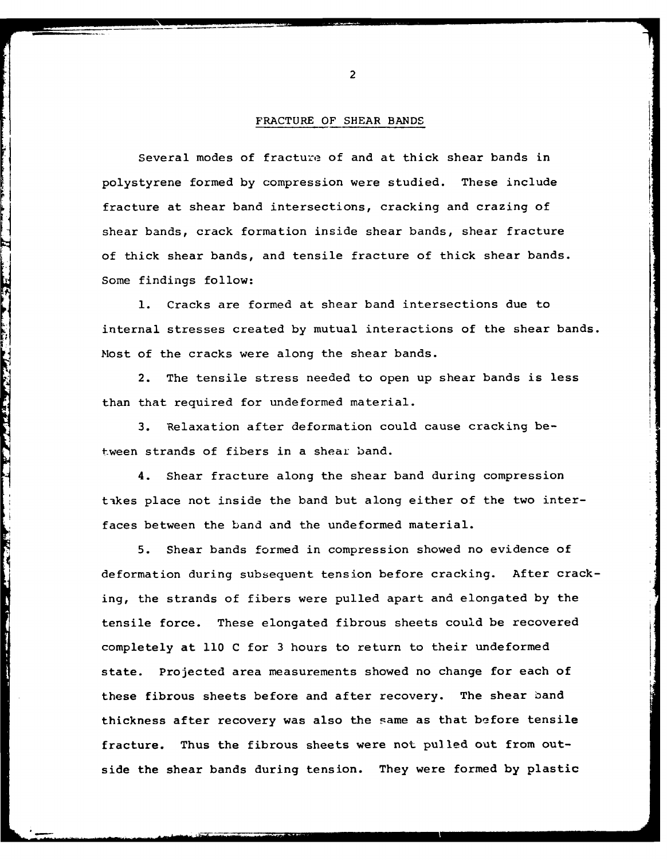## FRACTURE OF SHEAR **BANDS**

Several modes of fracture of and at thick shear bands in polystyrene formed by compression were studied. These include fracture at shear band intersections, cracking and crazing of shear bands, crack formation inside shear bands, shear fracture of thick shear bands, and tensile fracture of thick shear bands. Some findings follow:

**1.** Cracks are formed at shear band intersections due to internal stresses created by mutual interactions of the shear bands. Most of the cracks were along the shear bands.

2. The tensile stress needed to open up shear bands is less than that required for undeformed material.

3. Relaxation after deformation could cause cracking between strands of fibers in a shear band.

The street of the street of the street

4. Shear fracture along the shear band during compression takes place not inside the band but along either of the two interfaces between the band and the undeformed material.

**9** 5. Shear bands formed in compression showed no evidence of deformation during subsequent tension before cracking. After cracking, the strands of fibers were pulled apart and elongated by the tensile force. These elongated fibrous sheets could be recovered completely at **110 C** for **3** hours to return to their undeformed state. Projected area measurements showed no change for each of these fibrous sheets before and after recovery. The shear band thickness after recovery was also the same as that before tensile fracture. Thus the fibrous sheets were not pulled out from outside the shear bands during tension. They were formed **by** plastic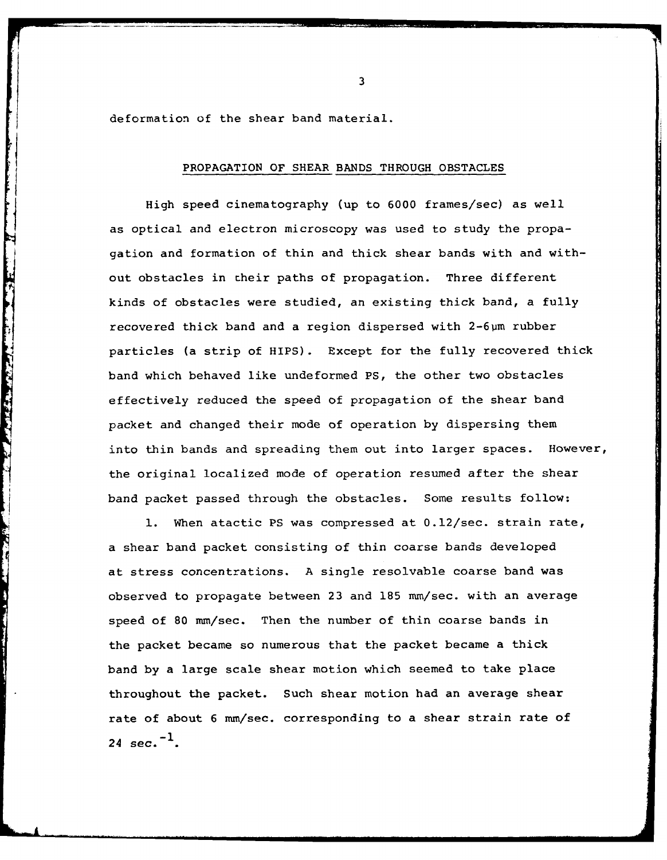deformation of the shear band material.

The company of the company of the company of the company of the company of the company of the company of the company of the company of the company of the company of the company of the company of the company of the company

# PROPAGATION OF SHEAR BANDS THROUGH OBSTACLES

High speed cinematography (up to 6000 frames/sec) as well as optical and electron microscopy was used to study the propagation and formation of thin and thick shear bands with and without obstacles in their paths of propagation. Three different kinds of obstacles were studied, an existing thick band, a fully recovered thick band and a region dispersed with 2-6um rubber particles (a strip of HIPS). Except for the fully recovered thick band which behaved like undeformed PS, the other two obstacles effectively reduced the speed of propagation of the shear band packet and changed their mode of operation by dispersing them into thin bands and spreading them out into larger spaces. However, the original localized mode of operation resumed after the shear band packet passed through the obstacles. Some results follow:

**1.** When atactic PS was compressed at 0.12/sec. strain rate, a shear band packet consisting of thin coarse bands developed at stress concentrations. A single resolvable coarse band was observed to propagate between 23 and 185 mm/sec. with an average speed of 80 mm/sec. Then the number of thin coarse bands in the packet became so numerous that the packet became a thick band by a large scale shear motion which seemed to take place throughout the packet. Such shear motion had an average shear rate of about 6 mm/sec. corresponding to a shear strain rate of 24 sec.<sup> $-1$ </sup>.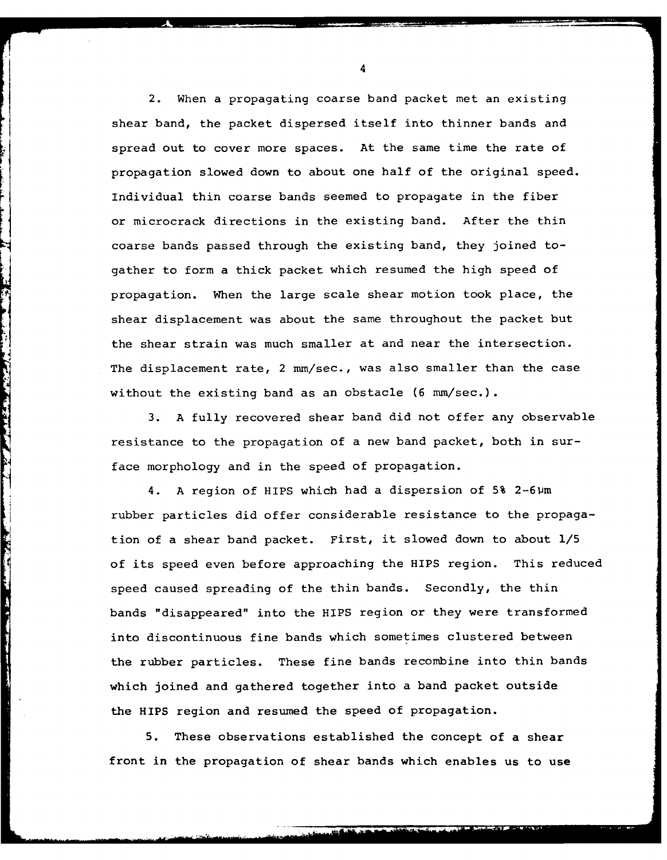2. When a propagating coarse band packet met an existing shear band, the packet dispersed itself into thinner bands and spread out to cover more spaces. At the same time the rate of propagation slowed down to about one half of the original speed. Individual thin coarse bands seemed to propagate in the fiber or microcrack directions in the existing band. After the thin coarse bands passed through the existing band, they joined togather to form a thick packet which resumed the high speed of propagation. When the large scale shear motion took place, the shear displacement was about the same throughout the packet but the shear strain was much smaller at and near the intersection. The displacement rate, 2 mm/sec., was also smaller than the case without the existing band as an obstacle (6 mm/sec.).

3. A fully recovered shear band did not offer any observable resistance to the propagation of a new band packet, both in surface morphology and in the speed of propagation.

**THE STATE OF STATE** 

j

4. A region of HIPS which had a dispersion of 5% 2-6pm rubber particles did offer considerable resistance to the propagation of a shear band packet. First, it slowed down to about 1/5 of its speed even before approaching the HIPS region. This reduced speed caused spreading of the thin bands. Secondly, the thin bands "disappeared" into the HIPS region or they were transformed into discontinuous fine bands which sometimes clustered between the rubber particles. These fine bands recombine into thin bands which joined and gathered together into a band packet outside the HIPS region and resumed the speed of propagation.

5. These observations established the concept of a shear front in the propagation of shear bands which enables us to use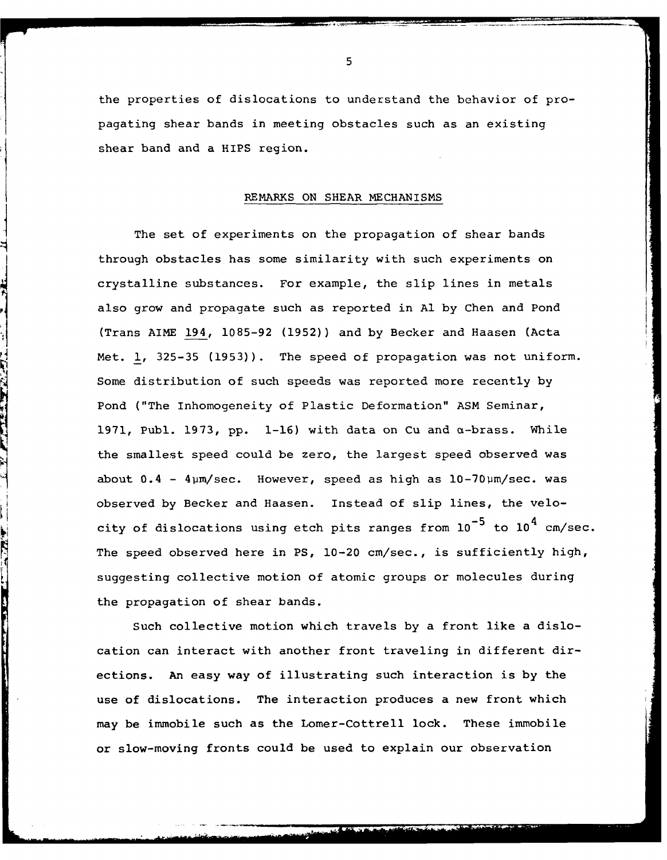the properties of dislocations to understand the behavior of propagating shear bands in meeting obstacles such as an existing shear band and a HIPS region.

### REMARKS **ON** SHEAR MECHANISMS

The set of experiments on the propagation of shear bands through obstacles has some similarity with such experiments on crystalline substances. For example, the slip lines in metals also grow and propagate such as reported in **Al** by Chen and Pond (Trans AIME 194, 1085-92 (1952)) and by Becker and Haasen (Acta Met. **1,** 325-35 (1953)). The speed of propagation was not uniform. Some distribution of such speeds was reported more recently by Pond ("The Inhomogeneity of Plastic Deformation" ASM Seminar, 1971, Publ. 1973, pp. 1-16) with data on Cu and  $\alpha$ -brass. While the smallest speed could be zero, the largest speed observed was about  $0.4 - 4 \mu m/sec$ . However, speed as high as  $10-70 \mu m/sec$ . was observed by Becker and Haasen. Instead of slip lines, the velocity of dislocations using etch pits ranges from  $10^{-5}$  to  $10^{4}$  cm/sec. The speed observed here in PS, 10-20 cm/sec., is sufficiently high, suggesting collective motion of atomic groups or molecules during the propagation of shear bands.

Such collective motion which travels by a front like a dislocation can interact with another front traveling in different directions. An easy way of illustrating such interaction is by the use of dislocations. The interaction produces a new front which may be immobile such as the Lomer-Cottrell lock. These immobile or slow-moving fronts could be used to explain our observation

**The Second Company of the Second Second Second Second Second Second Second Second Second Second Second Second Second Second Second Second Second Second Second Second Second Second Second Second Second Second Second Second**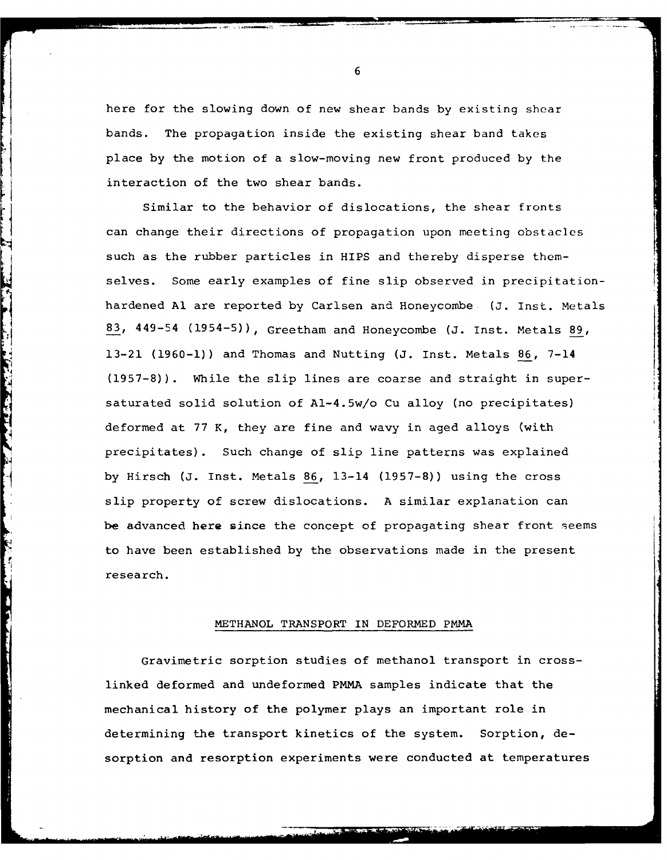here for the slowing down of new shear bands by existing shear bands. The propagation inside the existing shear band takes place by the motion of a slow-moving new front produced by the interaction of the two shear bands.

Similar to the behavior of dislocations, the shear fronts can change their directions of propagation upon meeting obstacles such as the rubber particles in HIPS and thereby disperse themselves. Some early examples of fine slip observed in precipitationhardened **Al** are reported by Carlsen and Honeycombe (J. Inst. Metals 83, 449-54 (1954-5)), Greetham and Honeycombe (J. Inst. Metals 89, 13-21 (1960-1)) and Thomas and Nutting (J. Inst. Metals 86, 7-14 (1957-8)). While the slip lines are coarse and straight in supersaturated solid solution of Al-4.5w/o Cu alloy (no precipitates) deformed at 77 K, they are fine and wavy in aged alloys (with precipitates). Such change of slip line patterns was explained by Hirsch (J. Inst. Metals 86, 13-14 (1957-8)) using the cross slip property of screw dislocations. A similar explanation can be advanced here since the concept of propagating shear front seems to have been established by the observations made in the present research.

# METHANOL TRANSPORT IN DEFORMED PMMA

ţ.

Gravimetric sorption studies of methanol transport in crosslinked deformed and undeformed PMMA samples indicate that the mechanical history of the polymer plays an important role in determining the transport kinetics of the system. Sorption, desorption and resorption experiments were conducted at temperatures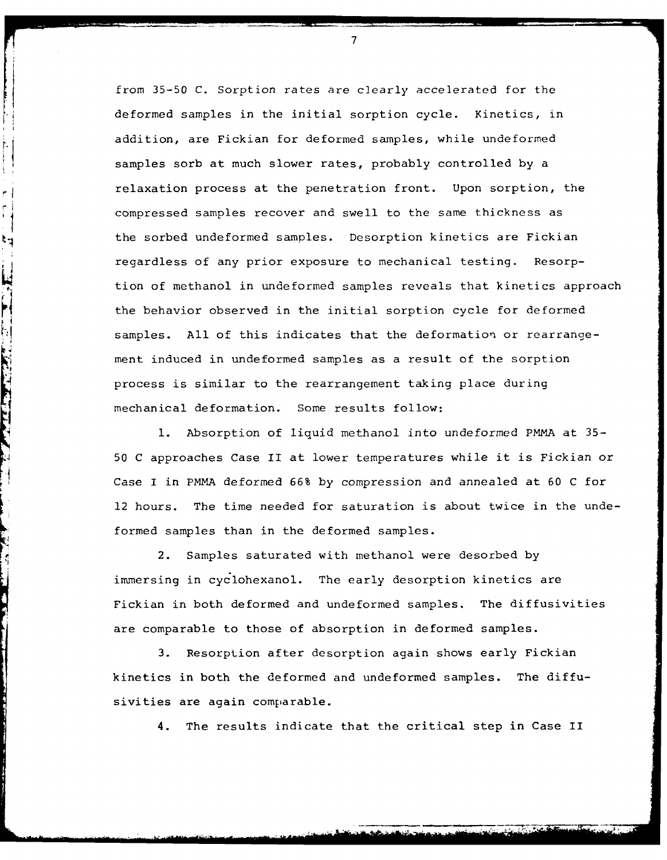from 35-50 C. Sorption rates are clearly accelerated for the deformed samples in the initial sorption cycle. Kinetics, in addition, are Fickian for deformed samples, while undeformed samples sorb at much slower rates, probably controlled by a relaxation process at the penetration front. Upon sorption, the compressed samples recover and swell to the same thickness as the sorbed undeformed samples. Desorption kinetics are Fickian regardless of any prior exposure to mechanical testing. Resorption of methanol in undeformed samples reveals that kinetics approach the behavior observed in the initial sorption cycle for deformed samples. All of this indicates that the deformation or rearrangement induced in undeformed samples as a result of the sorption process is similar to the rearrangement taking place during mechanical deformation. Some results follow:

١q

TEATER THE STATE OF THE STATE OF THE STATE OF THE STATE OF THE STATE OF THE STATE OF THE STATE OF THE STATE OF

**1.** Absorption of liquid methanol into undeformed PMMA at 35- 50 C approaches Case II at lower temperatures while it is Fickian or Case I in PMMA deformed 66% by compression and annealed at 60 C for 12 hours. The time needed for saturation is about twice in the undeformed samples than in the deformed samples.

2. Samples saturated with methanol were desorbed by immersing in cyclohexanol. The early desorption kinetics are Fickian in both deformed and undeformed samples. The diffusivities are comparable to those of absorption in deformed samples.

3. Resorption after desorption again shows early Fickian kinetics in both the deformed and undeformed samples. The diffusivities are again comparable.

4. The results indicate that the critical step in Case II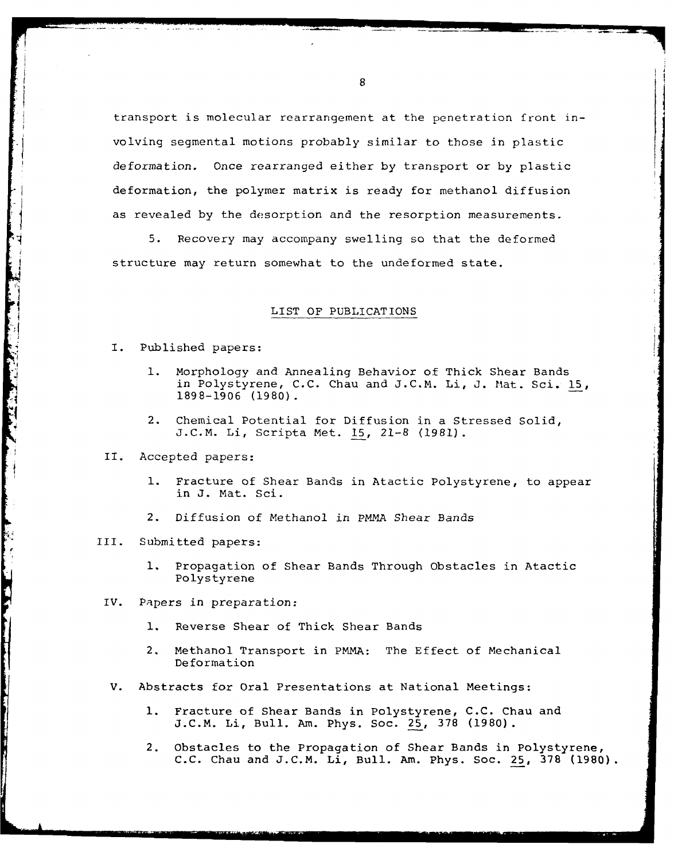transport is molecular rearrangement at the penetration front involving segmental motions probably similar to those in plastic deformation. Once rearranged either by transport or by plastic deformation, the polymer matrix is ready for methanol diffusion as revealed by the desorption and the resorption measurements.

5. Recovery may accompany swelling so that the deformed structure may return somewhat to the undeformed state.

#### LIST OF PUBLICATIONS

- I. Published papers:
	- **1.** Morphology and Annealing Behavior of Thick Shear Bands in Polystyrene, C.C. Chau and J.C.M. Li, J. Mat. Sci. 15, 1898-1906 (1980) **.**
	- 2. Chemical Potential for Diffusion in a Stressed Solid, J.C.M. Li, Scripta Met. **15,** 21-8 (1981).
- II. Accepted papers:
	- **1.** Fracture of Shear Bands in Atactic Polystyrene, to appear in J. Mat. Sci.
	- 2. Diffusion of Methanol in PMMA Shear Bands
- III. Submitted papers:

- **1.** Propagation of Shear Bands Through Obstacles in Atactic Polystyrene
- IV. Papers in preparation:
	- **1.** Reverse Shear of Thick Shear Bands
	- 2. Methanol Transport in PMMA: The Effect of Mechanical Deformation
	- V. Abstracts for Oral Presentations at National Meetings:
		- **1.** Fracture of Shear Bands in Polystyrene, C.C. Chau and J.C.M. Li, Bull. Am. Phys. Soc. 25, 378 (1980).
		- 2. Obstacles to the Propagation of Shear Bands in Polystyrene, C.C. Chau and J.C.M. Li, Bull. Am. Phys. Soc. 25, 378 (1980).